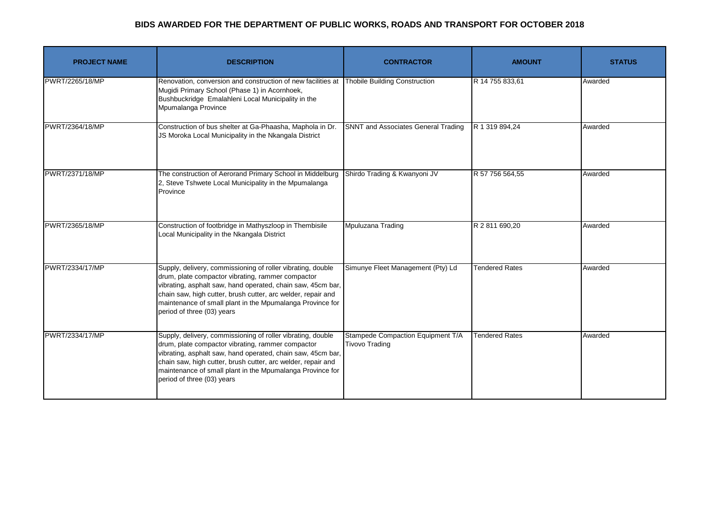| <b>PROJECT NAME</b> | <b>DESCRIPTION</b>                                                                                                                                                                                                                                                                                                                         | <b>CONTRACTOR</b>                                          | <b>AMOUNT</b>         | <b>STATUS</b> |
|---------------------|--------------------------------------------------------------------------------------------------------------------------------------------------------------------------------------------------------------------------------------------------------------------------------------------------------------------------------------------|------------------------------------------------------------|-----------------------|---------------|
| PWRT/2265/18/MP     | Renovation, conversion and construction of new facilities at<br>Mugidi Primary School (Phase 1) in Acornhoek,<br>Bushbuckridge Emalahleni Local Municipality in the<br>Mpumalanga Province                                                                                                                                                 | <b>Thobile Building Construction</b>                       | R 14 755 833,61       | Awarded       |
| PWRT/2364/18/MP     | Construction of bus shelter at Ga-Phaasha, Maphola in Dr.<br>JS Moroka Local Municipality in the Nkangala District                                                                                                                                                                                                                         | SNNT and Associates General Trading                        | R 1 319 894,24        | Awarded       |
| PWRT/2371/18/MP     | The construction of Aerorand Primary School in Middelburg<br>2, Steve Tshwete Local Municipality in the Mpumalanga<br>Province                                                                                                                                                                                                             | Shirdo Trading & Kwanyoni JV                               | R 57 756 564,55       | Awarded       |
| PWRT/2365/18/MP     | Construction of footbridge in Mathyszloop in Thembisile<br>Local Municipality in the Nkangala District                                                                                                                                                                                                                                     | Mpuluzana Trading                                          | R 2 811 690,20        | Awarded       |
| PWRT/2334/17/MP     | Supply, delivery, commissioning of roller vibrating, double<br>drum, plate compactor vibrating, rammer compactor<br>vibrating, asphalt saw, hand operated, chain saw, 45cm bar,<br>chain saw, high cutter, brush cutter, arc welder, repair and<br>maintenance of small plant in the Mpumalanga Province for<br>period of three (03) years | Simunye Fleet Management (Pty) Ld                          | <b>Tendered Rates</b> | Awarded       |
| PWRT/2334/17/MP     | Supply, delivery, commissioning of roller vibrating, double<br>drum, plate compactor vibrating, rammer compactor<br>vibrating, asphalt saw, hand operated, chain saw, 45cm bar,<br>chain saw, high cutter, brush cutter, arc welder, repair and<br>maintenance of small plant in the Mpumalanga Province for<br>period of three (03) years | Stampede Compaction Equipment T/A<br><b>Tivovo Trading</b> | <b>Tendered Rates</b> | Awarded       |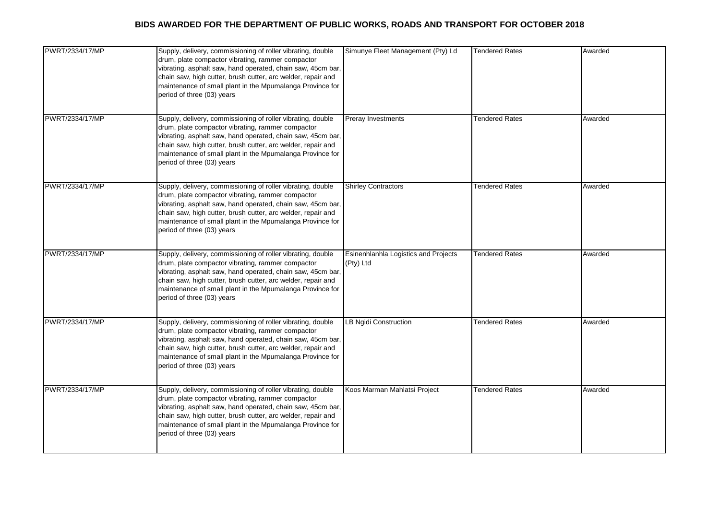| PWRT/2334/17/MP | Supply, delivery, commissioning of roller vibrating, double<br>drum, plate compactor vibrating, rammer compactor<br>vibrating, asphalt saw, hand operated, chain saw, 45cm bar,<br>chain saw, high cutter, brush cutter, arc welder, repair and<br>maintenance of small plant in the Mpumalanga Province for<br>period of three (03) years | Simunye Fleet Management (Pty) Ld                 | <b>Tendered Rates</b> | Awarded |
|-----------------|--------------------------------------------------------------------------------------------------------------------------------------------------------------------------------------------------------------------------------------------------------------------------------------------------------------------------------------------|---------------------------------------------------|-----------------------|---------|
| PWRT/2334/17/MP | Supply, delivery, commissioning of roller vibrating, double<br>drum, plate compactor vibrating, rammer compactor<br>vibrating, asphalt saw, hand operated, chain saw, 45cm bar,<br>chain saw, high cutter, brush cutter, arc welder, repair and<br>maintenance of small plant in the Mpumalanga Province for<br>period of three (03) years | Preray Investments                                | <b>Tendered Rates</b> | Awarded |
| PWRT/2334/17/MP | Supply, delivery, commissioning of roller vibrating, double<br>drum, plate compactor vibrating, rammer compactor<br>vibrating, asphalt saw, hand operated, chain saw, 45cm bar,<br>chain saw, high cutter, brush cutter, arc welder, repair and<br>maintenance of small plant in the Mpumalanga Province for<br>period of three (03) years | <b>Shirley Contractors</b>                        | <b>Tendered Rates</b> | Awarded |
| PWRT/2334/17/MP | Supply, delivery, commissioning of roller vibrating, double<br>drum, plate compactor vibrating, rammer compactor<br>vibrating, asphalt saw, hand operated, chain saw, 45cm bar,<br>chain saw, high cutter, brush cutter, arc welder, repair and<br>maintenance of small plant in the Mpumalanga Province for<br>period of three (03) years | Esinenhlanhla Logistics and Projects<br>(Pty) Ltd | <b>Tendered Rates</b> | Awarded |
| PWRT/2334/17/MP | Supply, delivery, commissioning of roller vibrating, double<br>drum, plate compactor vibrating, rammer compactor<br>vibrating, asphalt saw, hand operated, chain saw, 45cm bar,<br>chain saw, high cutter, brush cutter, arc welder, repair and<br>maintenance of small plant in the Mpumalanga Province for<br>period of three (03) years | LB Ngidi Construction                             | <b>Tendered Rates</b> | Awarded |
| PWRT/2334/17/MP | Supply, delivery, commissioning of roller vibrating, double<br>drum, plate compactor vibrating, rammer compactor<br>vibrating, asphalt saw, hand operated, chain saw, 45cm bar,<br>chain saw, high cutter, brush cutter, arc welder, repair and<br>maintenance of small plant in the Mpumalanga Province for<br>period of three (03) years | Koos Marman Mahlatsi Project                      | <b>Tendered Rates</b> | Awarded |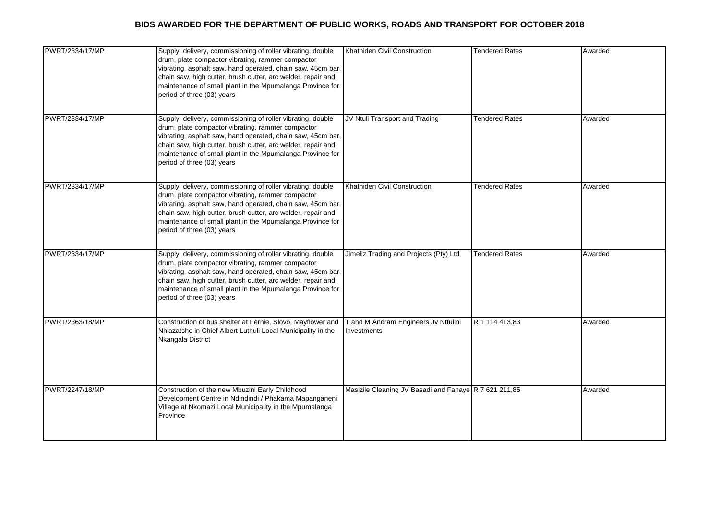| PWRT/2334/17/MP | Supply, delivery, commissioning of roller vibrating, double<br>drum, plate compactor vibrating, rammer compactor<br>vibrating, asphalt saw, hand operated, chain saw, 45cm bar,<br>chain saw, high cutter, brush cutter, arc welder, repair and<br>maintenance of small plant in the Mpumalanga Province for<br>period of three (03) years | Khathiden Civil Construction                          | <b>Tendered Rates</b> | Awarded |
|-----------------|--------------------------------------------------------------------------------------------------------------------------------------------------------------------------------------------------------------------------------------------------------------------------------------------------------------------------------------------|-------------------------------------------------------|-----------------------|---------|
| PWRT/2334/17/MP | Supply, delivery, commissioning of roller vibrating, double<br>drum, plate compactor vibrating, rammer compactor<br>vibrating, asphalt saw, hand operated, chain saw, 45cm bar,<br>chain saw, high cutter, brush cutter, arc welder, repair and<br>maintenance of small plant in the Mpumalanga Province for<br>period of three (03) years | JV Ntuli Transport and Trading                        | <b>Tendered Rates</b> | Awarded |
| PWRT/2334/17/MP | Supply, delivery, commissioning of roller vibrating, double<br>drum, plate compactor vibrating, rammer compactor<br>vibrating, asphalt saw, hand operated, chain saw, 45cm bar,<br>chain saw, high cutter, brush cutter, arc welder, repair and<br>maintenance of small plant in the Mpumalanga Province for<br>period of three (03) years | Khathiden Civil Construction                          | <b>Tendered Rates</b> | Awarded |
| PWRT/2334/17/MP | Supply, delivery, commissioning of roller vibrating, double<br>drum, plate compactor vibrating, rammer compactor<br>vibrating, asphalt saw, hand operated, chain saw, 45cm bar,<br>chain saw, high cutter, brush cutter, arc welder, repair and<br>maintenance of small plant in the Mpumalanga Province for<br>period of three (03) years | Jimeliz Trading and Projects (Pty) Ltd                | <b>Tendered Rates</b> | Awarded |
| PWRT/2363/18/MP | Construction of bus shelter at Fernie, Slovo, Mayflower and<br>Nhlazatshe in Chief Albert Luthuli Local Municipality in the<br>Nkangala District                                                                                                                                                                                           | T and M Andram Engineers Jv Ntfulini<br>Investments   | R 1 114 413,83        | Awarded |
| PWRT/2247/18/MP | Construction of the new Mbuzini Early Childhood<br>Development Centre in Ndindindi / Phakama Mapanganeni<br>Village at Nkomazi Local Municipality in the Mpumalanga<br>Province                                                                                                                                                            | Masizile Cleaning JV Basadi and Fanaye R 7 621 211,85 |                       | Awarded |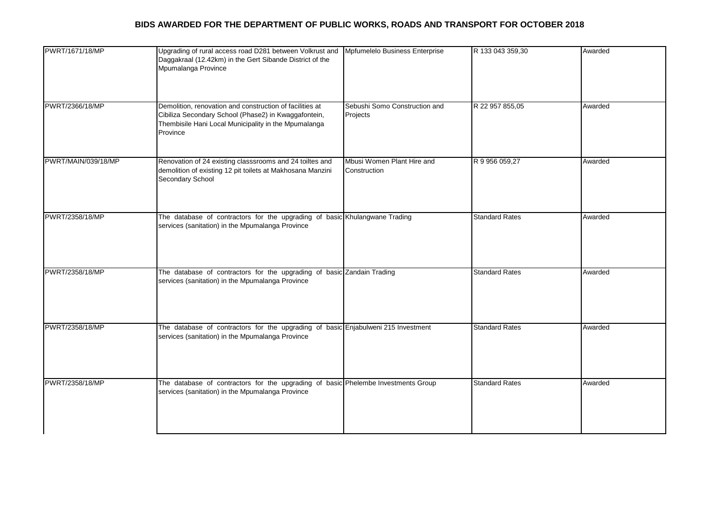| PWRT/1671/18/MP     | Upgrading of rural access road D281 between Volkrust and<br>Daggakraal (12.42km) in the Gert Sibande District of the<br>Mpumalanga Province                                          | Mpfumelelo Business Enterprise             | R 133 043 359,30      | Awarded |
|---------------------|--------------------------------------------------------------------------------------------------------------------------------------------------------------------------------------|--------------------------------------------|-----------------------|---------|
| PWRT/2366/18/MP     | Demolition, renovation and construction of facilities at<br>Cibiliza Secondary School (Phase2) in Kwaggafontein,<br>Thembisile Hani Local Municipality in the Mpumalanga<br>Province | Sebushi Somo Construction and<br>Projects  | R 22 957 855,05       | Awarded |
| PWRT/MAIN/039/18/MP | Renovation of 24 existing classsrooms and 24 toiltes and<br>demolition of existing 12 pit toilets at Makhosana Manzini<br>Secondary School                                           | Mbusi Women Plant Hire and<br>Construction | R 9 956 059,27        | Awarded |
| PWRT/2358/18/MP     | The database of contractors for the upgrading of basic Khulangwane Trading<br>services (sanitation) in the Mpumalanga Province                                                       |                                            | <b>Standard Rates</b> | Awarded |
| PWRT/2358/18/MP     | The database of contractors for the upgrading of basic Zandain Trading<br>services (sanitation) in the Mpumalanga Province                                                           |                                            | <b>Standard Rates</b> | Awarded |
| PWRT/2358/18/MP     | The database of contractors for the upgrading of basic Enjabulweni 215 Investment<br>services (sanitation) in the Mpumalanga Province                                                |                                            | <b>Standard Rates</b> | Awarded |
| PWRT/2358/18/MP     | The database of contractors for the upgrading of basic Phelembe Investments Group<br>services (sanitation) in the Mpumalanga Province                                                |                                            | <b>Standard Rates</b> | Awarded |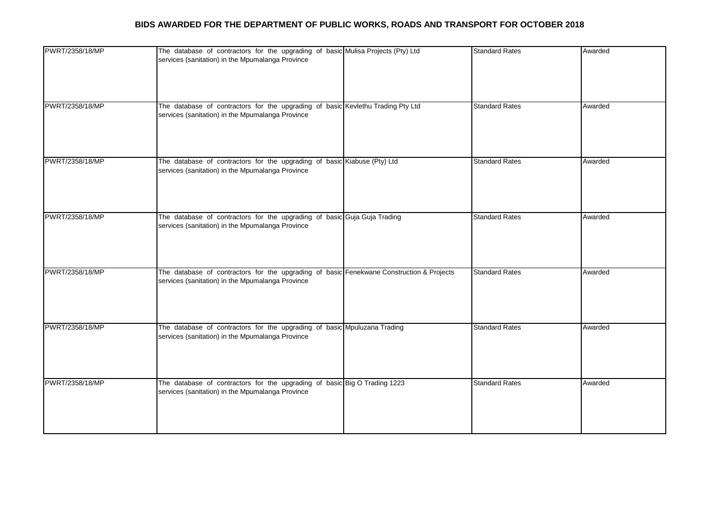| PWRT/2358/18/MP | The database of contractors for the upgrading of basic Mulisa Projects (Pty) Ltd<br>services (sanitation) in the Mpumalanga Province         | <b>Standard Rates</b> | Awarded |
|-----------------|----------------------------------------------------------------------------------------------------------------------------------------------|-----------------------|---------|
| PWRT/2358/18/MP | The database of contractors for the upgrading of basic Kevlethu Trading Pty Ltd<br>services (sanitation) in the Mpumalanga Province          | <b>Standard Rates</b> | Awarded |
| PWRT/2358/18/MP | The database of contractors for the upgrading of basic Kiabuse (Pty) Ltd<br>services (sanitation) in the Mpumalanga Province                 | <b>Standard Rates</b> | Awarded |
| PWRT/2358/18/MP | The database of contractors for the upgrading of basic Guja Guja Trading<br>services (sanitation) in the Mpumalanga Province                 | <b>Standard Rates</b> | Awarded |
| PWRT/2358/18/MP | The database of contractors for the upgrading of basic Fenekwane Construction & Projects<br>services (sanitation) in the Mpumalanga Province | <b>Standard Rates</b> | Awarded |
| PWRT/2358/18/MP | The database of contractors for the upgrading of basic Mpuluzana Trading<br>services (sanitation) in the Mpumalanga Province                 | <b>Standard Rates</b> | Awarded |
| PWRT/2358/18/MP | The database of contractors for the upgrading of basic Big O Trading 1223<br>services (sanitation) in the Mpumalanga Province                | <b>Standard Rates</b> | Awarded |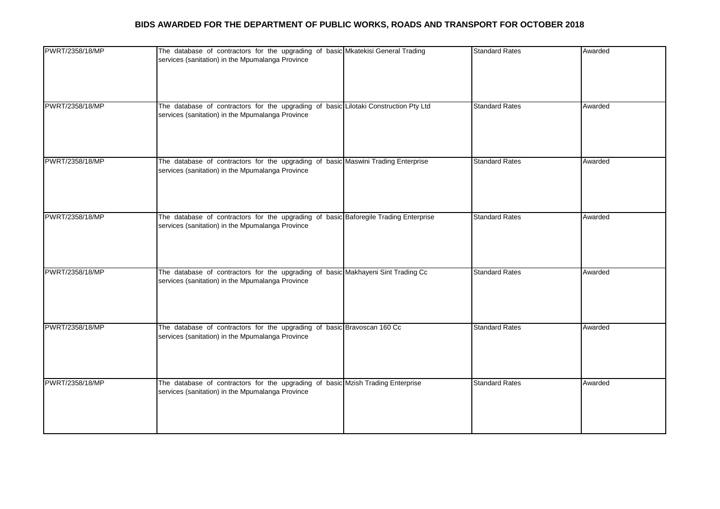| PWRT/2358/18/MP | The database of contractors for the upgrading of basic Mkatekisi General Trading<br>services (sanitation) in the Mpumalanga Province     | <b>Standard Rates</b> | Awarded |
|-----------------|------------------------------------------------------------------------------------------------------------------------------------------|-----------------------|---------|
| PWRT/2358/18/MP | The database of contractors for the upgrading of basic Lilotaki Construction Pty Ltd<br>services (sanitation) in the Mpumalanga Province | <b>Standard Rates</b> | Awarded |
| PWRT/2358/18/MP | The database of contractors for the upgrading of basic Maswini Trading Enterprise<br>services (sanitation) in the Mpumalanga Province    | <b>Standard Rates</b> | Awarded |
| PWRT/2358/18/MP | The database of contractors for the upgrading of basic Baforegile Trading Enterprise<br>services (sanitation) in the Mpumalanga Province | <b>Standard Rates</b> | Awarded |
| PWRT/2358/18/MP | The database of contractors for the upgrading of basic Makhayeni Sint Trading Cc<br>services (sanitation) in the Mpumalanga Province     | <b>Standard Rates</b> | Awarded |
| PWRT/2358/18/MP | The database of contractors for the upgrading of basic Bravoscan 160 Cc<br>services (sanitation) in the Mpumalanga Province              | <b>Standard Rates</b> | Awarded |
| PWRT/2358/18/MP | The database of contractors for the upgrading of basic Mzish Trading Enterprise<br>services (sanitation) in the Mpumalanga Province      | <b>Standard Rates</b> | Awarded |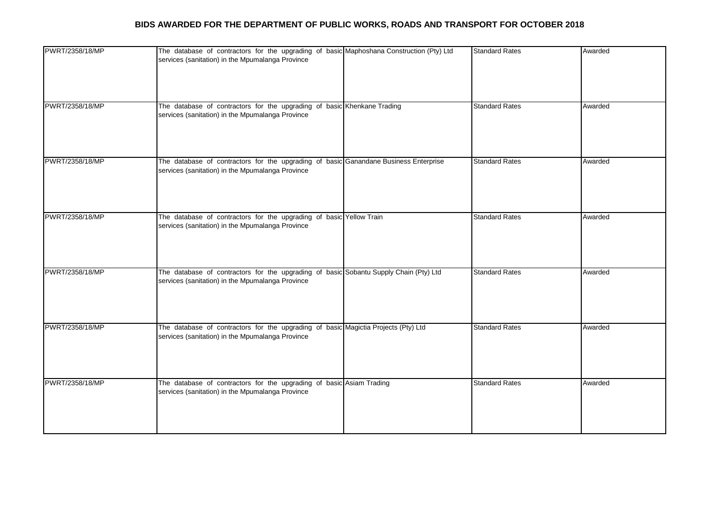| PWRT/2358/18/MP | The database of contractors for the upgrading of basic Maphoshana Construction (Pty) Ltd<br>services (sanitation) in the Mpumalanga Province | <b>Standard Rates</b> | Awarded |
|-----------------|----------------------------------------------------------------------------------------------------------------------------------------------|-----------------------|---------|
| PWRT/2358/18/MP | The database of contractors for the upgrading of basic Khenkane Trading<br>services (sanitation) in the Mpumalanga Province                  | <b>Standard Rates</b> | Awarded |
| PWRT/2358/18/MP | The database of contractors for the upgrading of basic Ganandane Business Enterprise<br>services (sanitation) in the Mpumalanga Province     | <b>Standard Rates</b> | Awarded |
| PWRT/2358/18/MP | The database of contractors for the upgrading of basic Yellow Train<br>services (sanitation) in the Mpumalanga Province                      | <b>Standard Rates</b> | Awarded |
| PWRT/2358/18/MP | The database of contractors for the upgrading of basic Sobantu Supply Chain (Pty) Ltd<br>services (sanitation) in the Mpumalanga Province    | <b>Standard Rates</b> | Awarded |
| PWRT/2358/18/MP | The database of contractors for the upgrading of basic Magictia Projects (Pty) Ltd<br>services (sanitation) in the Mpumalanga Province       | <b>Standard Rates</b> | Awarded |
| PWRT/2358/18/MP | The database of contractors for the upgrading of basic Asiam Trading<br>services (sanitation) in the Mpumalanga Province                     | <b>Standard Rates</b> | Awarded |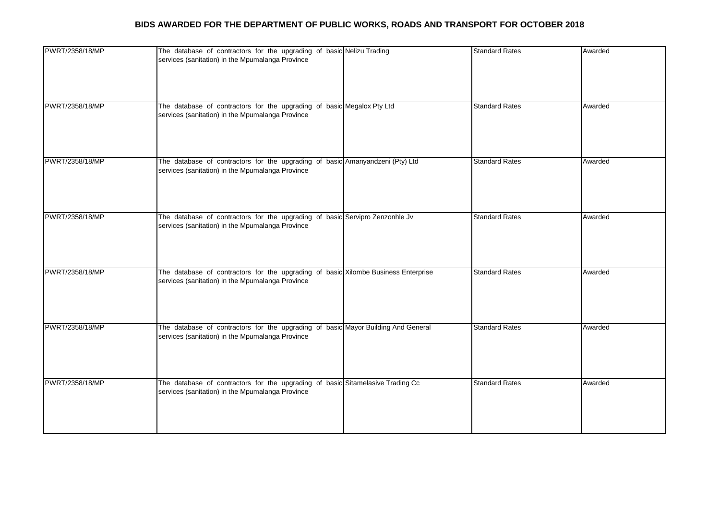| PWRT/2358/18/MP | The database of contractors for the upgrading of basic Nelizu Trading<br>services (sanitation) in the Mpumalanga Province              | <b>Standard Rates</b> | Awarded |
|-----------------|----------------------------------------------------------------------------------------------------------------------------------------|-----------------------|---------|
| PWRT/2358/18/MP | The database of contractors for the upgrading of basic Megalox Pty Ltd<br>services (sanitation) in the Mpumalanga Province             | <b>Standard Rates</b> | Awarded |
| PWRT/2358/18/MP | The database of contractors for the upgrading of basic Amanyandzeni (Pty) Ltd<br>services (sanitation) in the Mpumalanga Province      | <b>Standard Rates</b> | Awarded |
| PWRT/2358/18/MP | The database of contractors for the upgrading of basic Servipro Zenzonhle Jv<br>services (sanitation) in the Mpumalanga Province       | <b>Standard Rates</b> | Awarded |
| PWRT/2358/18/MP | The database of contractors for the upgrading of basic Xilombe Business Enterprise<br>services (sanitation) in the Mpumalanga Province | <b>Standard Rates</b> | Awarded |
| PWRT/2358/18/MP | The database of contractors for the upgrading of basic Mayor Building And General<br>services (sanitation) in the Mpumalanga Province  | <b>Standard Rates</b> | Awarded |
| PWRT/2358/18/MP | The database of contractors for the upgrading of basic Sitamelasive Trading Cc<br>services (sanitation) in the Mpumalanga Province     | <b>Standard Rates</b> | Awarded |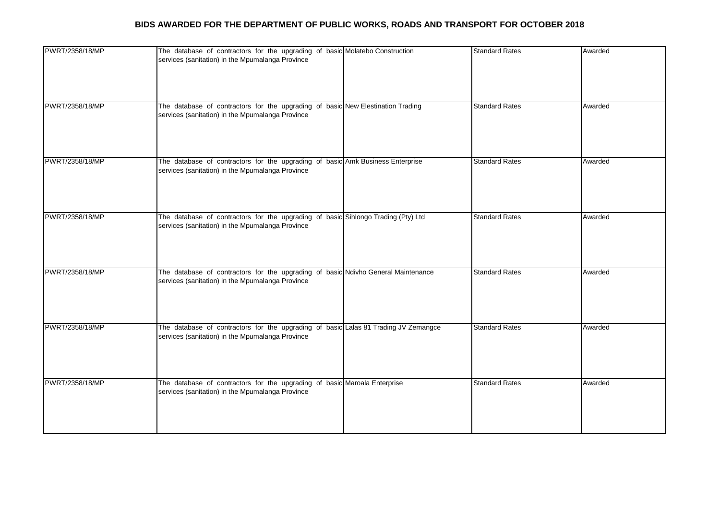| PWRT/2358/18/MP | The database of contractors for the upgrading of basic Molatebo Construction<br>services (sanitation) in the Mpumalanga Province        | <b>Standard Rates</b> | Awarded |
|-----------------|-----------------------------------------------------------------------------------------------------------------------------------------|-----------------------|---------|
| PWRT/2358/18/MP | The database of contractors for the upgrading of basic New Elestination Trading<br>services (sanitation) in the Mpumalanga Province     | <b>Standard Rates</b> | Awarded |
| PWRT/2358/18/MP | The database of contractors for the upgrading of basic Amk Business Enterprise<br>services (sanitation) in the Mpumalanga Province      | <b>Standard Rates</b> | Awarded |
| PWRT/2358/18/MP | The database of contractors for the upgrading of basic Sihlongo Trading (Pty) Ltd<br>services (sanitation) in the Mpumalanga Province   | <b>Standard Rates</b> | Awarded |
| PWRT/2358/18/MP | The database of contractors for the upgrading of basic Ndivho General Maintenance<br>services (sanitation) in the Mpumalanga Province   | <b>Standard Rates</b> | Awarded |
| PWRT/2358/18/MP | The database of contractors for the upgrading of basic Lalas 81 Trading JV Zemangce<br>services (sanitation) in the Mpumalanga Province | <b>Standard Rates</b> | Awarded |
| PWRT/2358/18/MP | The database of contractors for the upgrading of basic Maroala Enterprise<br>services (sanitation) in the Mpumalanga Province           | <b>Standard Rates</b> | Awarded |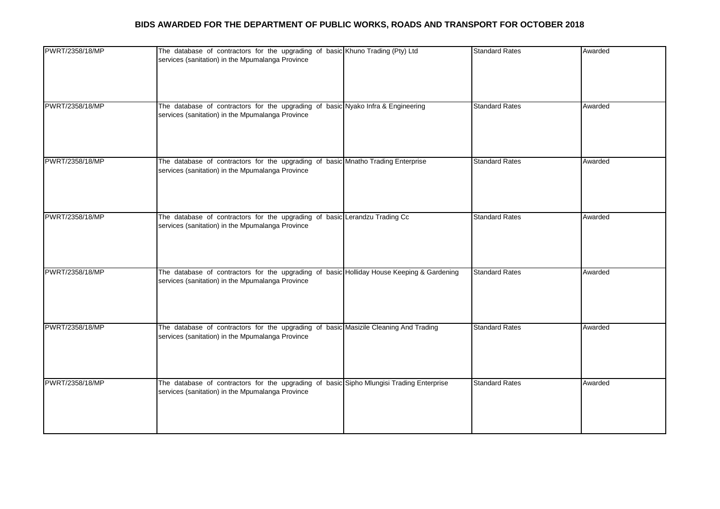| PWRT/2358/18/MP | The database of contractors for the upgrading of basic Khuno Trading (Pty) Ltd<br>services (sanitation) in the Mpumalanga Province            | <b>Standard Rates</b> | Awarded |
|-----------------|-----------------------------------------------------------------------------------------------------------------------------------------------|-----------------------|---------|
| PWRT/2358/18/MP | The database of contractors for the upgrading of basic Nyako Infra & Engineering<br>services (sanitation) in the Mpumalanga Province          | <b>Standard Rates</b> | Awarded |
| PWRT/2358/18/MP | The database of contractors for the upgrading of basic Mnatho Trading Enterprise<br>services (sanitation) in the Mpumalanga Province          | <b>Standard Rates</b> | Awarded |
| PWRT/2358/18/MP | The database of contractors for the upgrading of basic Lerandzu Trading Cc<br>services (sanitation) in the Mpumalanga Province                | <b>Standard Rates</b> | Awarded |
| PWRT/2358/18/MP | The database of contractors for the upgrading of basic Holliday House Keeping & Gardening<br>services (sanitation) in the Mpumalanga Province | <b>Standard Rates</b> | Awarded |
| PWRT/2358/18/MP | The database of contractors for the upgrading of basic Masizile Cleaning And Trading<br>services (sanitation) in the Mpumalanga Province      | <b>Standard Rates</b> | Awarded |
| PWRT/2358/18/MP | The database of contractors for the upgrading of basic Sipho Mlungisi Trading Enterprise<br>services (sanitation) in the Mpumalanga Province  | <b>Standard Rates</b> | Awarded |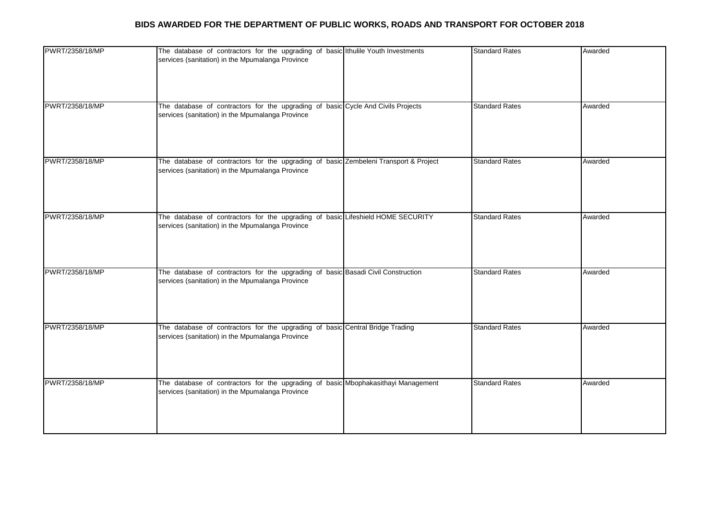| PWRT/2358/18/MP | The database of contractors for the upgrading of basic Ithulile Youth Investments<br>services (sanitation) in the Mpumalanga Province    | <b>Standard Rates</b> | Awarded |
|-----------------|------------------------------------------------------------------------------------------------------------------------------------------|-----------------------|---------|
| PWRT/2358/18/MP | The database of contractors for the upgrading of basic Cycle And Civils Projects<br>services (sanitation) in the Mpumalanga Province     | <b>Standard Rates</b> | Awarded |
| PWRT/2358/18/MP | The database of contractors for the upgrading of basic Zembeleni Transport & Project<br>services (sanitation) in the Mpumalanga Province | <b>Standard Rates</b> | Awarded |
| PWRT/2358/18/MP | The database of contractors for the upgrading of basic Lifeshield HOME SECURITY<br>services (sanitation) in the Mpumalanga Province      | <b>Standard Rates</b> | Awarded |
| PWRT/2358/18/MP | The database of contractors for the upgrading of basic Basadi Civil Construction<br>services (sanitation) in the Mpumalanga Province     | <b>Standard Rates</b> | Awarded |
| PWRT/2358/18/MP | The database of contractors for the upgrading of basic Central Bridge Trading<br>services (sanitation) in the Mpumalanga Province        | <b>Standard Rates</b> | Awarded |
| PWRT/2358/18/MP | The database of contractors for the upgrading of basic Mbophakasithayi Management<br>services (sanitation) in the Mpumalanga Province    | <b>Standard Rates</b> | Awarded |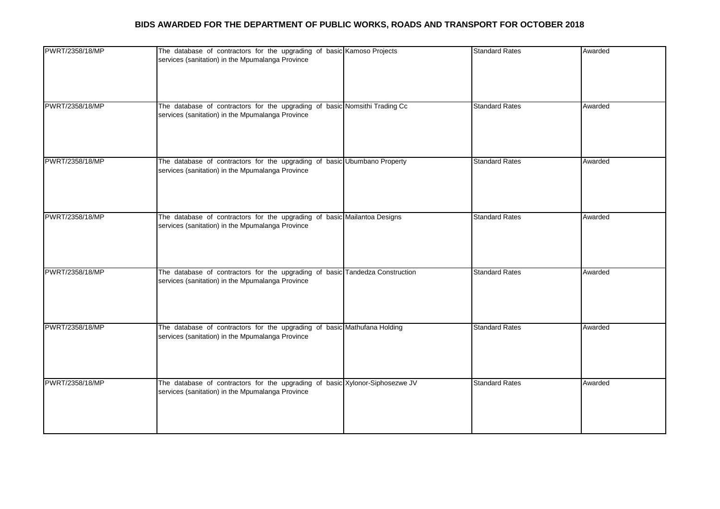| PWRT/2358/18/MP | The database of contractors for the upgrading of basic Kamoso Projects<br>services (sanitation) in the Mpumalanga Province       | <b>Standard Rates</b> | Awarded |
|-----------------|----------------------------------------------------------------------------------------------------------------------------------|-----------------------|---------|
| PWRT/2358/18/MP | The database of contractors for the upgrading of basic Nomsithi Trading Cc<br>services (sanitation) in the Mpumalanga Province   | <b>Standard Rates</b> | Awarded |
| PWRT/2358/18/MP | The database of contractors for the upgrading of basic Ubumbano Property<br>services (sanitation) in the Mpumalanga Province     | <b>Standard Rates</b> | Awarded |
| PWRT/2358/18/MP | The database of contractors for the upgrading of basic Mailantoa Designs<br>services (sanitation) in the Mpumalanga Province     | <b>Standard Rates</b> | Awarded |
| PWRT/2358/18/MP | The database of contractors for the upgrading of basic Tandedza Construction<br>services (sanitation) in the Mpumalanga Province | <b>Standard Rates</b> | Awarded |
| PWRT/2358/18/MP | The database of contractors for the upgrading of basic Mathufana Holding<br>services (sanitation) in the Mpumalanga Province     | <b>Standard Rates</b> | Awarded |
| PWRT/2358/18/MP | The database of contractors for the upgrading of basic Xylonor-Siphosezwe JV<br>services (sanitation) in the Mpumalanga Province | <b>Standard Rates</b> | Awarded |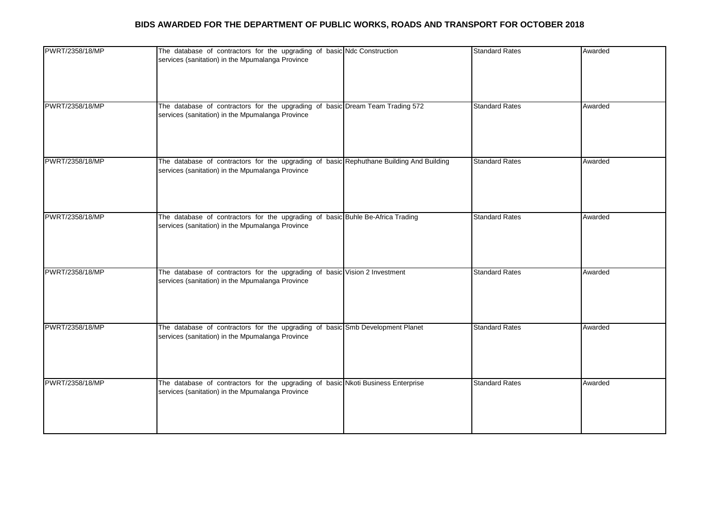| PWRT/2358/18/MP | The database of contractors for the upgrading of basic Ndc Construction<br>services (sanitation) in the Mpumalanga Province                 | <b>Standard Rates</b> | Awarded |
|-----------------|---------------------------------------------------------------------------------------------------------------------------------------------|-----------------------|---------|
| PWRT/2358/18/MP | The database of contractors for the upgrading of basic Dream Team Trading 572<br>services (sanitation) in the Mpumalanga Province           | <b>Standard Rates</b> | Awarded |
| PWRT/2358/18/MP | The database of contractors for the upgrading of basic Rephuthane Building And Building<br>services (sanitation) in the Mpumalanga Province | <b>Standard Rates</b> | Awarded |
| PWRT/2358/18/MP | The database of contractors for the upgrading of basic Buhle Be-Africa Trading<br>services (sanitation) in the Mpumalanga Province          | <b>Standard Rates</b> | Awarded |
| PWRT/2358/18/MP | The database of contractors for the upgrading of basic Vision 2 Investment<br>services (sanitation) in the Mpumalanga Province              | <b>Standard Rates</b> | Awarded |
| PWRT/2358/18/MP | The database of contractors for the upgrading of basic Smb Development Planet<br>services (sanitation) in the Mpumalanga Province           | <b>Standard Rates</b> | Awarded |
| PWRT/2358/18/MP | The database of contractors for the upgrading of basic Nkoti Business Enterprise<br>services (sanitation) in the Mpumalanga Province        | <b>Standard Rates</b> | Awarded |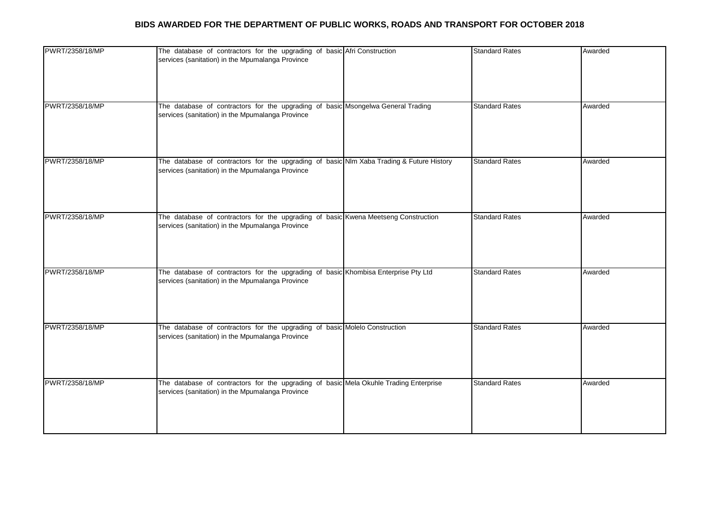| PWRT/2358/18/MP | The database of contractors for the upgrading of basic Afri Construction<br>services (sanitation) in the Mpumalanga Province                 | <b>Standard Rates</b> | Awarded |
|-----------------|----------------------------------------------------------------------------------------------------------------------------------------------|-----------------------|---------|
| PWRT/2358/18/MP | The database of contractors for the upgrading of basic Msongelwa General Trading<br>services (sanitation) in the Mpumalanga Province         | <b>Standard Rates</b> | Awarded |
| PWRT/2358/18/MP | The database of contractors for the upgrading of basic NIm Xaba Trading & Future History<br>services (sanitation) in the Mpumalanga Province | <b>Standard Rates</b> | Awarded |
| PWRT/2358/18/MP | The database of contractors for the upgrading of basic Kwena Meetseng Construction<br>services (sanitation) in the Mpumalanga Province       | <b>Standard Rates</b> | Awarded |
| PWRT/2358/18/MP | The database of contractors for the upgrading of basic Khombisa Enterprise Pty Ltd<br>services (sanitation) in the Mpumalanga Province       | <b>Standard Rates</b> | Awarded |
| PWRT/2358/18/MP | The database of contractors for the upgrading of basic Molelo Construction<br>services (sanitation) in the Mpumalanga Province               | <b>Standard Rates</b> | Awarded |
| PWRT/2358/18/MP | The database of contractors for the upgrading of basic Mela Okuhle Trading Enterprise<br>services (sanitation) in the Mpumalanga Province    | <b>Standard Rates</b> | Awarded |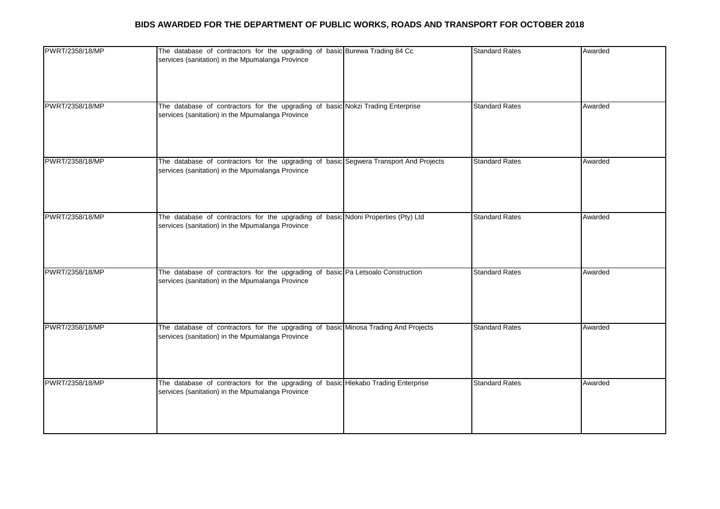| PWRT/2358/18/MP | The database of contractors for the upgrading of basic Burewa Trading 84 Cc<br>services (sanitation) in the Mpumalanga Province           | <b>Standard Rates</b> | Awarded |
|-----------------|-------------------------------------------------------------------------------------------------------------------------------------------|-----------------------|---------|
| PWRT/2358/18/MP | The database of contractors for the upgrading of basic Nokzi Trading Enterprise<br>services (sanitation) in the Mpumalanga Province       | <b>Standard Rates</b> | Awarded |
| PWRT/2358/18/MP | The database of contractors for the upgrading of basic Segwera Transport And Projects<br>services (sanitation) in the Mpumalanga Province | <b>Standard Rates</b> | Awarded |
| PWRT/2358/18/MP | The database of contractors for the upgrading of basic Ndoni Properties (Pty) Ltd<br>services (sanitation) in the Mpumalanga Province     | <b>Standard Rates</b> | Awarded |
| PWRT/2358/18/MP | The database of contractors for the upgrading of basic Pa Letsoalo Construction<br>services (sanitation) in the Mpumalanga Province       | <b>Standard Rates</b> | Awarded |
| PWRT/2358/18/MP | The database of contractors for the upgrading of basic Minosa Trading And Projects<br>services (sanitation) in the Mpumalanga Province    | <b>Standard Rates</b> | Awarded |
| PWRT/2358/18/MP | The database of contractors for the upgrading of basic Hlekabo Trading Enterprise<br>services (sanitation) in the Mpumalanga Province     | <b>Standard Rates</b> | Awarded |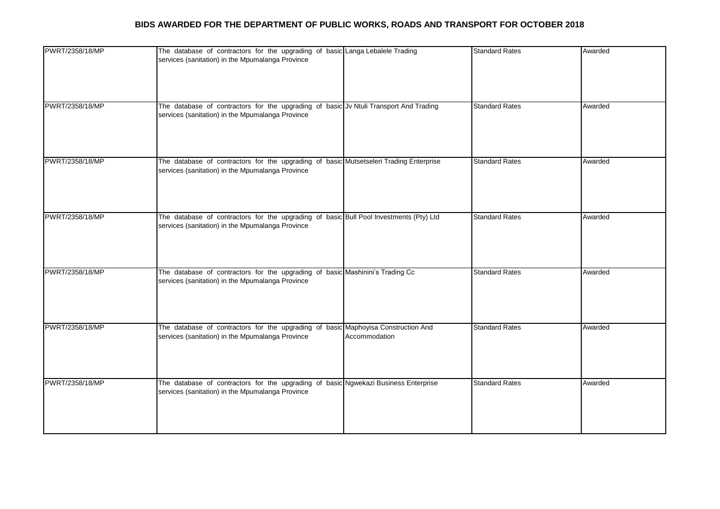| PWRT/2358/18/MP | The database of contractors for the upgrading of basic Langa Lebalele Trading<br>services (sanitation) in the Mpumalanga Province                      | <b>Standard Rates</b> | Awarded |
|-----------------|--------------------------------------------------------------------------------------------------------------------------------------------------------|-----------------------|---------|
| PWRT/2358/18/MP | The database of contractors for the upgrading of basic Jv Ntuli Transport And Trading<br>services (sanitation) in the Mpumalanga Province              | <b>Standard Rates</b> | Awarded |
| PWRT/2358/18/MP | The database of contractors for the upgrading of basic Mutsetseleri Trading Enterprise<br>services (sanitation) in the Mpumalanga Province             | <b>Standard Rates</b> | Awarded |
| PWRT/2358/18/MP | The database of contractors for the upgrading of basic Bull Pool Investments (Pty) Ltd<br>services (sanitation) in the Mpumalanga Province             | <b>Standard Rates</b> | Awarded |
| PWRT/2358/18/MP | The database of contractors for the upgrading of basic Mashinini's Trading Cc<br>services (sanitation) in the Mpumalanga Province                      | <b>Standard Rates</b> | Awarded |
| PWRT/2358/18/MP | The database of contractors for the upgrading of basic Maphoyisa Construction And<br>services (sanitation) in the Mpumalanga Province<br>Accommodation | <b>Standard Rates</b> | Awarded |
| PWRT/2358/18/MP | The database of contractors for the upgrading of basic Ngwekazi Business Enterprise<br>services (sanitation) in the Mpumalanga Province                | <b>Standard Rates</b> | Awarded |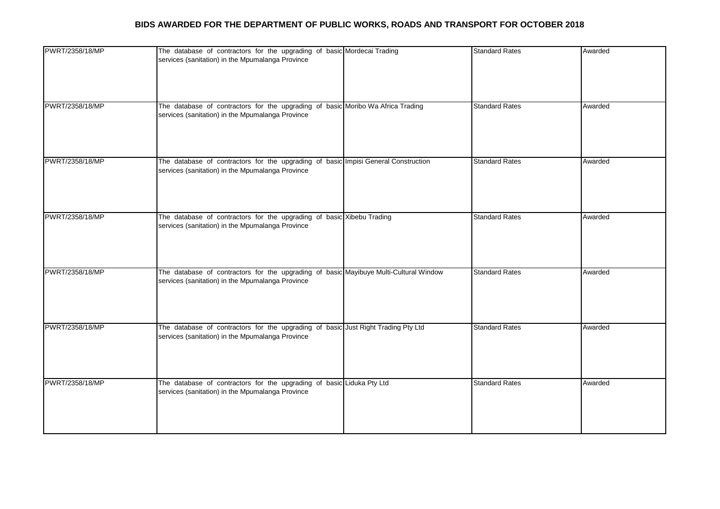| PWRT/2358/18/MP | The database of contractors for the upgrading of basic Mordecai Trading<br>services (sanitation) in the Mpumalanga Province               | <b>Standard Rates</b> | Awarded |
|-----------------|-------------------------------------------------------------------------------------------------------------------------------------------|-----------------------|---------|
| PWRT/2358/18/MP | The database of contractors for the upgrading of basic Moribo Wa Africa Trading<br>services (sanitation) in the Mpumalanga Province       | <b>Standard Rates</b> | Awarded |
| PWRT/2358/18/MP | The database of contractors for the upgrading of basic Impisi General Construction<br>services (sanitation) in the Mpumalanga Province    | <b>Standard Rates</b> | Awarded |
| PWRT/2358/18/MP | The database of contractors for the upgrading of basic Xibebu Trading<br>services (sanitation) in the Mpumalanga Province                 | <b>Standard Rates</b> | Awarded |
| PWRT/2358/18/MP | The database of contractors for the upgrading of basic Mayibuye Multi-Cultural Window<br>services (sanitation) in the Mpumalanga Province | <b>Standard Rates</b> | Awarded |
| PWRT/2358/18/MP | The database of contractors for the upgrading of basic Just Right Trading Pty Ltd<br>services (sanitation) in the Mpumalanga Province     | <b>Standard Rates</b> | Awarded |
| PWRT/2358/18/MP | The database of contractors for the upgrading of basic Liduka Pty Ltd<br>services (sanitation) in the Mpumalanga Province                 | <b>Standard Rates</b> | Awarded |